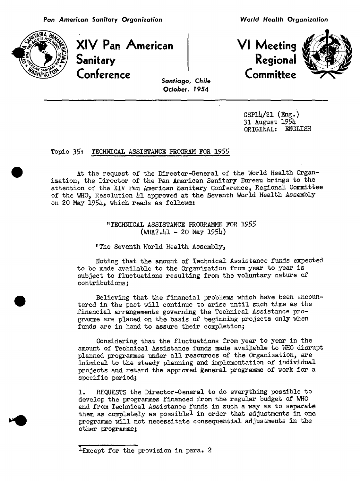

XIV Pan American Sanitary **Regional**<br>Conference **Regional**  $\begin{array}{ccc}\n\mathsf{Conference} & \mathsf{f} \\
\mathsf{f} \\
\mathsf{f} \\
\mathsf{f} \\
\mathsf{f} \\
\mathsf{f} \\
\mathsf{f} \\
\mathsf{f} \\
\mathsf{f} \\
\mathsf{f} \\
\mathsf{f} \\
\mathsf{f} \\
\mathsf{f} \\
\mathsf{f} \\
\mathsf{f} \\
\mathsf{f} \\
\mathsf{f} \\
\mathsf{f} \\
\mathsf{f} \\
\mathsf{f} \\
\mathsf{f} \\
\mathsf{f} \\
\mathsf{f} \\
\mathsf{f} \\
\mathsf{f} \\
\mathsf{f} \\
\mathsf{f} \\
\mathsf{f} \\
\mathsf{f} \\
\$ 

**VI Meeting** 



Santi**a**go**, C**hil**e Oc**t**o**b**er,** 1954

> CSPl4/21(Eng.) 31 August 195h ORIGINAL: ENGLISH

## Topic 35: TECHNICAL ASSISTANCE PROGRAM FOR 1955

At the request of the Director-General of the World Health Organization, the Director of the Pan American Sanitary Bureau brings to the attention of the XIV Pan American Sanitary Conference, Regional Committee of the WHO, Resolution 41 approved at the Seventh World Health Assembly on 20 May 1954, which reads as follows:

> "TECHNICAL ASSISTANCE PROGRAMME FOR 1955  $(WHA7.41 - 20$  May  $1954$ )

"The Seventh World Health Assembly,

Noting that the amount of Technical Assistance funds expected to be made available to the Organization from year to year is subject to fluctuations resulting from the voluntary nature of contributions;

Believing that the financial problems which have been encountered in the past will continue to arise until such time as the financial arrangements governing the Technical Assistance programme are placed on the basis of beginning projects only when funds are in hand to assure their completion;

Considering that the fluctuations from year to year in the amount of Technical Assistance funds made available to WHO disrupt planned programmes under all resources of the Organization, are inimical to the steady planning and implementation of individual projects and retard the approved general programme of work for a specific period;

1. REQUESTS the Director-General to do everything possible to develop the programmes financed from the regular budget of WHO and from Technical Assistance funds in such a way as to separate them as completely as possible<sup>l</sup> in order that adjustments in one programme will not necessitate consequential adjustments in the other programme;

<sup>&</sup>lt;sup>1</sup>Except for the provision in para. 2